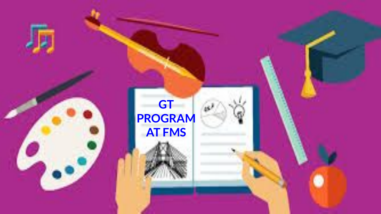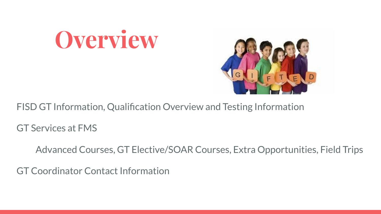# **Overview**



FISD GT Information, Qualification Overview and Testing Information

GT Services at FMS

Advanced Courses, GT Elective/SOAR Courses, Extra Opportunities, Field Trips

GT Coordinator Contact Information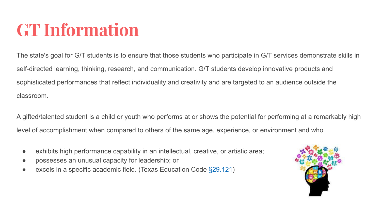## **GT Information**

The state's goal for G/T students is to ensure that those students who participate in G/T services demonstrate skills in self-directed learning, thinking, research, and communication. G/T students develop innovative products and sophisticated performances that reflect individuality and creativity and are targeted to an audience outside the classroom.

A gifted/talented student is a child or youth who performs at or shows the potential for performing at a remarkably high level of accomplishment when compared to others of the same age, experience, or environment and who

- exhibits high performance capability in an intellectual, creative, or artistic area;
- possesses an unusual capacity for leadership; or
- $\bullet$  excels in a specific academic field. (Texas Education Code  $\S 29.121$ )

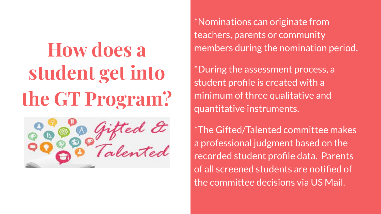# **How does a student get into the GT Program?**



\*Nominations can originate from teachers, parents or community members during the nomination period.

\*During the assessment process, a student profile is created with a minimum of three qualitative and quantitative instruments.

\*The Gifted/Talented committee makes a professional judgment based on the recorded student profile data. Parents of all screened students are notified of the committee decisions via US Mail.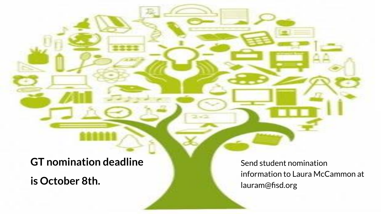**GT nomination deadline** 

**is October 8th.** 

Send student nomination information to Laura McCammon at lauram@fisd.org

 $\rightarrow$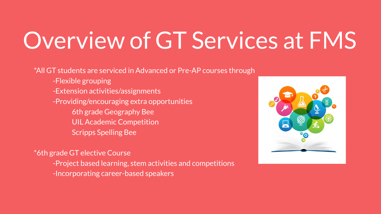# Overview of GT Services at FMS

\*All GT students are serviced in Advanced or Pre-AP courses through

- -Flexible grouping
- -Extension activities/assignments
- -Providing/encouraging extra opportunities
	- 6th grade Geography Bee
	- UIL Academic Competition
	- Scripps Spelling Bee

\*6th grade GT elective Course

- -Project based learning, stem activities and competitions
- -Incorporating career-based speakers

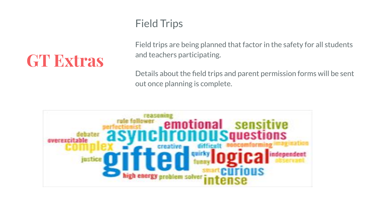### **GT Extras**

#### Field Trips

Field trips are being planned that factor in the safety for all students and teachers participating.

Details about the field trips and parent permission forms will be sent out once planning is complete.

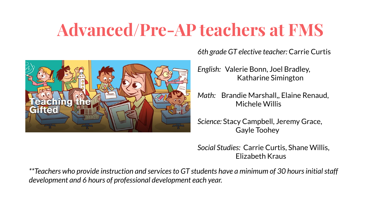## **Advanced/Pre-AP teachers at FMS**



*6th grade GT elective teacher:* Carrie Curtis

*English:* Valerie Bonn, Joel Bradley, Katharine Simington

*Math:* Brandie Marshall,, Elaine Renaud, Michele Willis

*Science:* Stacy Campbell, Jeremy Grace, Gayle Toohey

*Social Studies:* Carrie Curtis, Shane Willis, Elizabeth Kraus

*\*\*Teachers who provide instruction and services to GT students have a minimum of 30 hours initial staff development and 6 hours of professional development each year.*